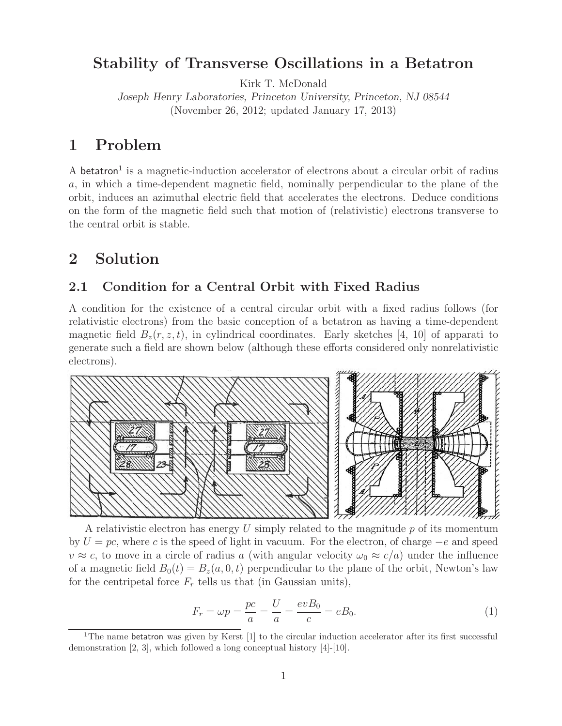### **Stability of Transverse Oscillations in a Betatron**

Kirk T. McDonald

*Joseph Henry Laboratories, Princeton University, Princeton, NJ 08544* (November 26, 2012; updated January 17, 2013)

## **1 Problem**

A betatron<sup>1</sup> is a magnetic-induction accelerator of electrons about a circular orbit of radius a, in which a time-dependent magnetic field, nominally perpendicular to the plane of the orbit, induces an azimuthal electric field that accelerates the electrons. Deduce conditions on the form of the magnetic field such that motion of (relativistic) electrons transverse to the central orbit is stable.

# **2 Solution**

### **2.1 Condition for a Central Orbit with Fixed Radius**

A condition for the existence of a central circular orbit with a fixed radius follows (for relativistic electrons) from the basic conception of a betatron as having a time-dependent magnetic field  $B_z(r, z, t)$ , in cylindrical coordinates. Early sketches [4, 10] of apparati to generate such a field are shown below (although these efforts considered only nonrelativistic electrons).



A relativistic electron has energy  $U$  simply related to the magnitude  $p$  of its momentum by  $U = pc$ , where c is the speed of light in vacuum. For the electron, of charge  $-e$  and speed  $v \approx c$ , to move in a circle of radius a (with angular velocity  $\omega_0 \approx c/a$ ) under the influence of a magnetic field  $B_0(t) = B_z(a, 0, t)$  perpendicular to the plane of the orbit, Newton's law for the centripetal force  $F_r$  tells us that (in Gaussian units),

$$
F_r = \omega p = \frac{pc}{a} = \frac{U}{a} = \frac{evB_0}{c} = eB_0.
$$
\n<sup>(1)</sup>

<sup>&</sup>lt;sup>1</sup>The name betatron was given by Kerst  $[1]$  to the circular induction accelerator after its first successful demonstration [2, 3], which followed a long conceptual history [4]-[10].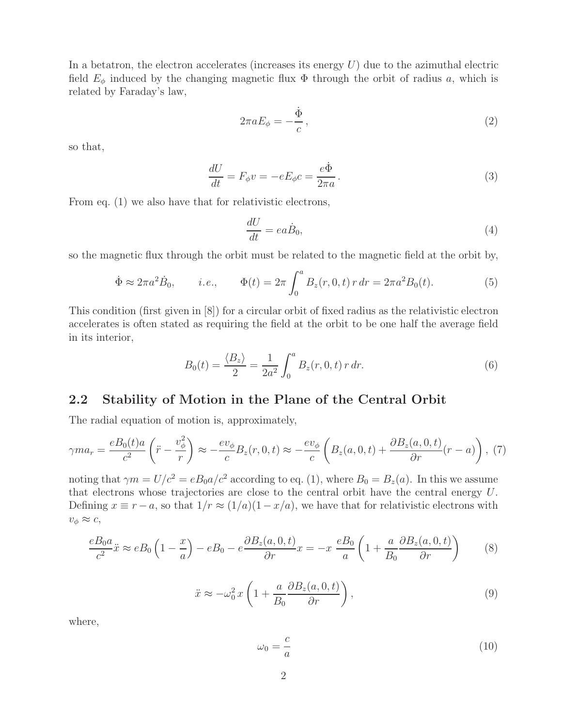In a betatron, the electron accelerates (increases its energy  $U$ ) due to the azimuthal electric field  $E_{\phi}$  induced by the changing magnetic flux  $\Phi$  through the orbit of radius a, which is related by Faraday's law,

$$
2\pi a E_{\phi} = -\frac{\dot{\Phi}}{c},\qquad(2)
$$

so that,

$$
\frac{dU}{dt} = F_{\phi}v = -eE_{\phi}c = \frac{e\dot{\Phi}}{2\pi a}.
$$
\n(3)

From eq. (1) we also have that for relativistic electrons,

$$
\frac{dU}{dt} = ea\dot{B}_0,\tag{4}
$$

so the magnetic flux through the orbit must be related to the magnetic field at the orbit by,

$$
\dot{\Phi} \approx 2\pi a^2 \dot{B}_0, \qquad i.e., \qquad \Phi(t) = 2\pi \int_0^a B_z(r, 0, t) \, r \, dr = 2\pi a^2 B_0(t). \tag{5}
$$

This condition (first given in [8]) for a circular orbit of fixed radius as the relativistic electron accelerates is often stated as requiring the field at the orbit to be one half the average field in its interior,

$$
B_0(t) = \frac{\langle B_z \rangle}{2} = \frac{1}{2a^2} \int_0^a B_z(r, 0, t) \, r \, dr. \tag{6}
$$

#### **2.2 Stability of Motion in the Plane of the Central Orbit**

The radial equation of motion is, approximately,

$$
\gamma ma_r = \frac{eB_0(t)a}{c^2} \left(\ddot{r} - \frac{v_\phi^2}{r}\right) \approx -\frac{ev_\phi}{c}B_z(r, 0, t) \approx -\frac{ev_\phi}{c} \left(B_z(a, 0, t) + \frac{\partial B_z(a, 0, t)}{\partial r}(r - a)\right), (7)
$$

noting that  $\gamma m = U/c^2 = eB_0 a/c^2$  according to eq. (1), where  $B_0 = B_z(a)$ . In this we assume that electrons whose trajectories are close to the central orbit have the central energy U. Defining  $x \equiv r - a$ , so that  $1/r \approx (1/a)(1 - x/a)$ , we have that for relativistic electrons with  $v_{\phi} \approx c$ ,

$$
\frac{eB_0a}{c^2}\ddot{x} \approx eB_0\left(1-\frac{x}{a}\right) - eB_0 - e\frac{\partial B_z(a,0,t)}{\partial r}x = -x\frac{eB_0}{a}\left(1 + \frac{a}{B_0}\frac{\partial B_z(a,0,t)}{\partial r}\right) \tag{8}
$$

$$
\ddot{x} \approx -\omega_0^2 x \left( 1 + \frac{a}{B_0} \frac{\partial B_z(a, 0, t)}{\partial r} \right),\tag{9}
$$

where,

$$
\omega_0 = \frac{c}{a} \tag{10}
$$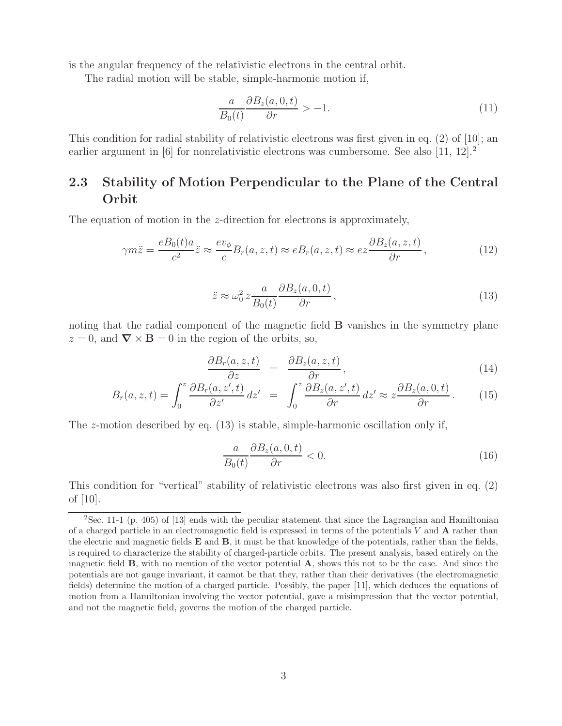is the angular frequency of the relativistic electrons in the central orbit.

The radial motion will be stable, simple-harmonic motion if,

$$
\frac{a}{B_0(t)}\frac{\partial B_z(a,0,t)}{\partial r} > -1.\tag{11}
$$

This condition for radial stability of relativistic electrons was first given in eq. (2) of [10]; an earlier argument in  $[6]$  for nonrelativistic electrons was cumbersome. See also  $[11, 12]$ .

### **2.3 Stability of Motion Perpendicular to the Plane of the Central Orbit**

The equation of motion in the z-direction for electrons is approximately,

$$
\gamma m \ddot{z} = \frac{e B_0(t) a}{c^2} \ddot{z} \approx \frac{e v_\phi}{c} B_r(a, z, t) \approx e B_r(a, z, t) \approx e z \frac{\partial B_z(a, z, t)}{\partial r}, \tag{12}
$$

$$
\ddot{z} \approx \omega_0^2 z \frac{a}{B_0(t)} \frac{\partial B_z(a,0,t)}{\partial r},\tag{13}
$$

noting that the radial component of the magnetic field **B** vanishes in the symmetry plane  $z = 0$ , and  $\nabla \times \mathbf{B} = 0$  in the region of the orbits, so,

$$
\frac{\partial B_r(a,z,t)}{\partial z} = \frac{\partial B_z(a,z,t)}{\partial r}, \qquad (14)
$$

$$
B_r(a, z, t) = \int_0^z \frac{\partial B_r(a, z', t)}{\partial z'} dz' = \int_0^z \frac{\partial B_z(a, z', t)}{\partial r} dz' \approx z \frac{\partial B_z(a, 0, t)}{\partial r}.
$$
 (15)

The z-motion described by eq.  $(13)$  is stable, simple-harmonic oscillation only if,

$$
\frac{a}{B_0(t)} \frac{\partial B_z(a,0,t)}{\partial r} < 0. \tag{16}
$$

This condition for "vertical" stability of relativistic electrons was also first given in eq. (2) of [10].

 $2$ Sec. 11-1 (p. 405) of [13] ends with the peculiar statement that since the Lagrangian and Hamiltonian of a charged particle in an electromagnetic field is expressed in terms of the potentials *V* and **A** rather than the electric and magnetic fields **E** and **B**, it must be that knowledge of the potentials, rather than the fields, is required to characterize the stability of charged-particle orbits. The present analysis, based entirely on the magnetic field **B**, with no mention of the vector potential **A**, shows this not to be the case. And since the potentials are not gauge invariant, it cannot be that they, rather than their derivatives (the electromagnetic fields) determine the motion of a charged particle. Possibly, the paper [11], which deduces the equations of motion from a Hamiltonian involving the vector potential, gave a misimpression that the vector potential, and not the magnetic field, governs the motion of the charged particle.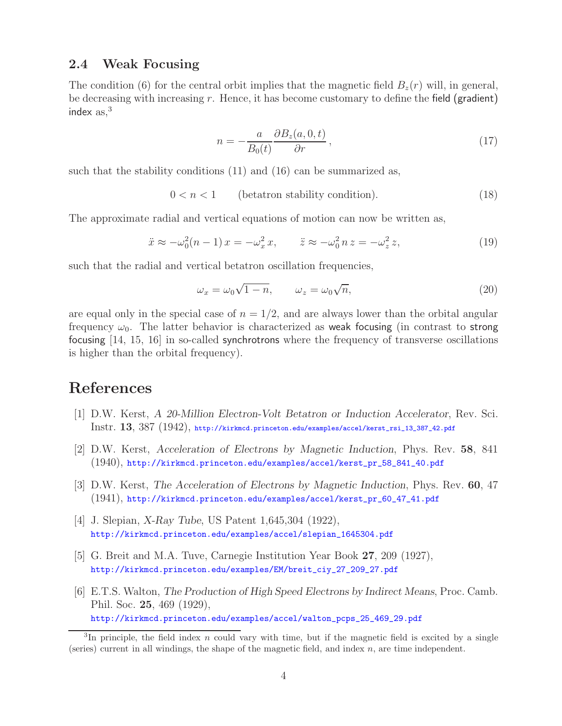#### **2.4 Weak Focusing**

The condition (6) for the central orbit implies that the magnetic field  $B_z(r)$  will, in general, be decreasing with increasing  $r$ . Hence, it has become customary to define the field (gradient) index  $as<sup>3</sup>$ 

$$
n = -\frac{a}{B_0(t)} \frac{\partial B_z(a, 0, t)}{\partial r}, \qquad (17)
$$

such that the stability conditions (11) and (16) can be summarized as,

$$
0 < n < 1 \qquad \text{(beta stability condition)}.\tag{18}
$$

The approximate radial and vertical equations of motion can now be written as,

$$
\ddot{x} \approx -\omega_0^2(n-1)x = -\omega_x^2 x, \qquad \ddot{z} \approx -\omega_0^2 n z = -\omega_z^2 z,
$$
\n(19)

such that the radial and vertical betatron oscillation frequencies,

$$
\omega_x = \omega_0 \sqrt{1 - n}, \qquad \omega_z = \omega_0 \sqrt{n}, \tag{20}
$$

are equal only in the special case of  $n = 1/2$ , and are always lower than the orbital angular frequency  $\omega_0$ . The latter behavior is characterized as weak focusing (in contrast to strong focusing [14, 15, 16] in so-called synchrotrons where the frequency of transverse oscillations is higher than the orbital frequency).

## **References**

- [1] D.W. Kerst, *A 20-Million Electron-Volt Betatron or Induction Accelerator*, Rev. Sci. Instr. **13**, 387 (1942), http://kirkmcd.princeton.edu/examples/accel/kerst\_rsi\_13\_387\_42.pdf
- [2] D.W. Kerst, *Acceleration of Electrons by Magnetic Induction*, Phys. Rev. **58**, 841 (1940), http://kirkmcd.princeton.edu/examples/accel/kerst\_pr\_58\_841\_40.pdf
- [3] D.W. Kerst, *The Acceleration of Electrons by Magnetic Induction*, Phys. Rev. **60**, 47 (1941), http://kirkmcd.princeton.edu/examples/accel/kerst\_pr\_60\_47\_41.pdf
- [4] J. Slepian, *X-Ray Tube*, US Patent 1,645,304 (1922), http://kirkmcd.princeton.edu/examples/accel/slepian\_1645304.pdf
- [5] G. Breit and M.A. Tuve, Carnegie Institution Year Book **27**, 209 (1927), http://kirkmcd.princeton.edu/examples/EM/breit\_ciy\_27\_209\_27.pdf
- [6] E.T.S. Walton, *The Production of High Speed Electrons by Indirect Means*, Proc. Camb. Phil. Soc. **25**, 469 (1929), http://kirkmcd.princeton.edu/examples/accel/walton\_pcps\_25\_469\_29.pdf

<sup>&</sup>lt;sup>3</sup>In principle, the field index *n* could vary with time, but if the magnetic field is excited by a single (series) current in all windings, the shape of the magnetic field, and index *n*, are time independent.